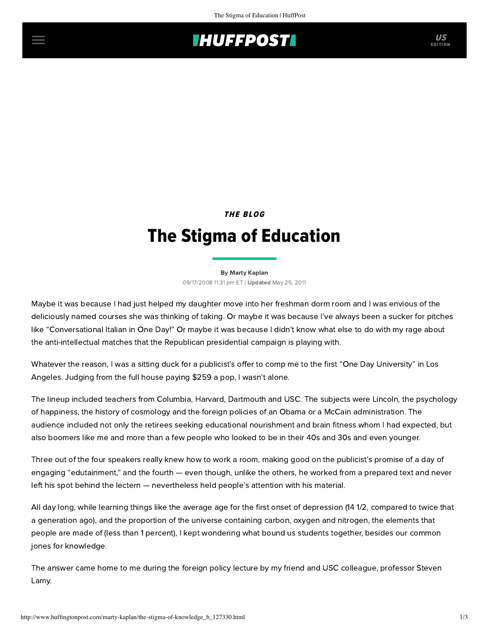## **THUFFPOSTI** US

THE BLOG

## The Stigma of Education

[By Marty Kaplan](http://www.huffingtonpost.com/author/marty-kaplan) 09/17/2008 11:31 pm ET | Updated May 25, 2011

Maybe it was because I had just helped my daughter move into her freshman dorm room and I was envious of the deliciously named courses she was thinking of taking. Or maybe it was because I've always been a sucker for pitches like "Conversational Italian in One Day!" Or maybe it was because I didn't know what else to do with my rage about the anti-intellectual matches that the Republican presidential campaign is playing with.

Whatever the reason, I was a sitting duck for a publicist's offer to comp me to the first "One Day University" in Los Angeles. Judging from the full house paying \$259 a pop, I wasn't alone.

The lineup included teachers from Columbia, Harvard, Dartmouth and USC. The subjects were Lincoln, the psychology of happiness, the history of cosmology and the foreign policies of an Obama or a McCain administration. The audience included not only the retirees seeking educational nourishment and brain fitness whom I had expected, but also boomers like me and more than a few people who looked to be in their 40s and 30s and even younger.

Three out of the four speakers really knew how to work a room, making good on the publicist's promise of a day of engaging "edutainment," and the fourth — even though, unlike the others, he worked from a prepared text and never left his spot behind the lectern — nevertheless held people's attention with his material.

All day long, while learning things like the average age for the first onset of depression (14 1/2, compared to twice that a generation ago), and the proportion of the universe containing carbon, oxygen and nitrogen, the elements that people are made of (less than 1 percent), I kept wondering what bound us students together, besides our common jones for knowledge.

The answer came home to me during the foreign policy lecture by my friend and USC colleague, professor Steven Lamy.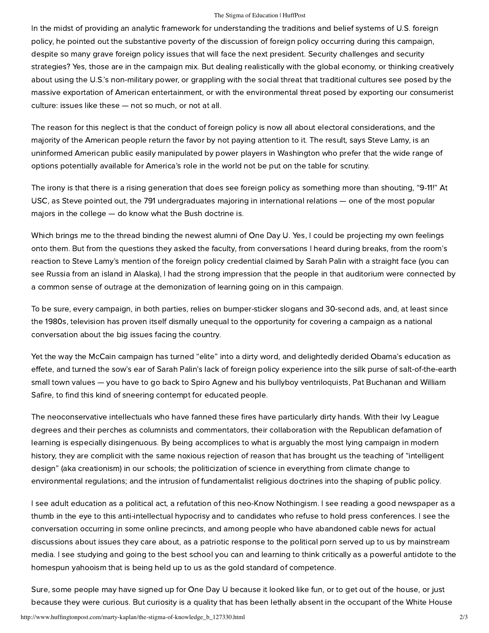## The Stigma of Education | HuffPost

In the midst of providing an analytic framework for understanding the traditions and belief systems of U.S. foreign policy, he pointed out the substantive poverty of the discussion of foreign policy occurring during this campaign, despite so many grave foreign policy issues that will face the next president. Security challenges and security strategies? Yes, those are in the campaign mix. But dealing realistically with the global economy, or thinking creatively about using the U.S.'s non-military power, or grappling with the social threat that traditional cultures see posed by the massive exportation of American entertainment, or with the environmental threat posed by exporting our consumerist culture: issues like these — not so much, or not at all.

The reason for this neglect is that the conduct of foreign policy is now all about electoral considerations, and the majority of the American people return the favor by not paying attention to it. The result, says Steve Lamy, is an uninformed American public easily manipulated by power players in Washington who prefer that the wide range of options potentially available for America's role in the world not be put on the table for scrutiny.

The irony is that there is a rising generation that does see foreign policy as something more than shouting, "9-11!" At USC, as Steve pointed out, the 791 undergraduates majoring in international relations — one of the most popular majors in the college — do know what the Bush doctrine is.

Which brings me to the thread binding the newest alumni of One Day U. Yes, I could be projecting my own feelings onto them. But from the questions they asked the faculty, from conversations I heard during breaks, from the room's reaction to Steve Lamy's mention of the foreign policy credential claimed by Sarah Palin with a straight face (you can see Russia from an island in Alaska), I had the strong impression that the people in that auditorium were connected by a common sense of outrage at the demonization of learning going on in this campaign.

To be sure, every campaign, in both parties, relies on bumper-sticker slogans and 30-second ads, and, at least since the 1980s, television has proven itself dismally unequal to the opportunity for covering a campaign as a national conversation about the big issues facing the country.

Yet the way the McCain campaign has turned "elite" into a dirty word, and delightedly derided Obama's education as effete, and turned the sow's ear of Sarah Palin's lack of foreign policy experience into the silk purse of salt-of-the-earth small town values — you have to go back to [Spiro Agnew](http://www.washingtonindependent.com/5871/the-next-agnew) and his bullyboy ventriloquists, Pat Buchanan and William Safire, to find this kind of sneering contempt for educated people.

The neoconservative intellectuals who have fanned these fires have particularly dirty hands. With their Ivy League degrees and their perches as columnists and commentators, their collaboration with the Republican defamation of learning is especially disingenuous. By being accomplices to what is arguably the most lying campaign in modern history, they are complicit with the same noxious rejection of reason that has brought us the teaching of "intelligent design" (aka creationism) in our schools; the politicization of science in everything from climate change to environmental regulations; and the intrusion of fundamentalist religious doctrines into the shaping of public policy.

I see adult education as a political act, a refutation of this neo-Know Nothingism. I see reading a good newspaper as a thumb in the eye to this anti-intellectual hypocrisy and to candidates who refuse to hold press conferences. I see the conversation occurring in some online precincts, and among people who have abandoned cable news for actual discussions about issues they care about, as a patriotic response to the political porn served up to us by mainstream media. I see studying and going to the best school you can and learning to think critically as a powerful antidote to the homespun yahooism that is being held up to us as the gold standard of competence.

Sure, some people may have signed up for One Day U because it looked like fun, or to get out of the house, or just because they were curious. But curiosity is a quality that has been lethally absent in the occupant of the White House